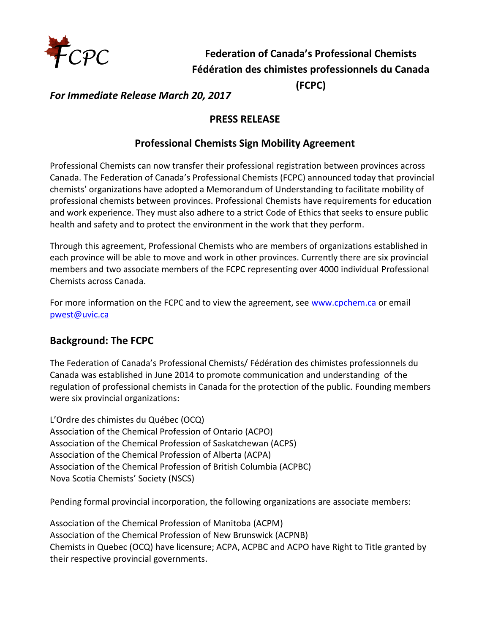

# **Federation of Canada's Professional Chemists Fédération des chimistes professionnels du Canada**

**(FCPC)**

*For Immediate Release March 20, 2017*

### **PRESS RELEASE**

#### **Professional Chemists Sign Mobility Agreement**

Professional Chemists can now transfer their professional registration between provinces across Canada. The Federation of Canada's Professional Chemists (FCPC) announced today that provincial chemists' organizations have adopted a Memorandum of Understanding to facilitate mobility of professional chemists between provinces. Professional Chemists have requirements for education and work experience. They must also adhere to a strict Code of Ethics that seeks to ensure public health and safety and to protect the environment in the work that they perform.

Through this agreement, Professional Chemists who are members of organizations established in each province will be able to move and work in other provinces. Currently there are six provincial members and two associate members of the FCPC representing over 4000 individual Professional Chemists across Canada.

For more information on the FCPC and to view the agreement, see [www.cpchem.ca](http://www.cpchem.ca/) or email [pwest@uvic.ca](mailto:pwest@uvic.ca) 

### **Background: The FCPC**

The Federation of Canada's Professional Chemists/ Fédération des chimistes professionnels du Canada was established in June 2014 to promote communication and understanding of the regulation of professional chemists in Canada for the protection of the public. Founding members were six provincial organizations:

L'Ordre des chimistes du Québec (OCQ) Association of the Chemical Profession of Ontario (ACPO) Association of the Chemical Profession of Saskatchewan (ACPS) Association of the Chemical Profession of Alberta (ACPA) Association of the Chemical Profession of British Columbia (ACPBC) Nova Scotia Chemists' Society (NSCS)

Pending formal provincial incorporation, the following organizations are associate members:

Association of the Chemical Profession of Manitoba (ACPM) Association of the Chemical Profession of New Brunswick (ACPNB) Chemists in Quebec (OCQ) have licensure; ACPA, ACPBC and ACPO have Right to Title granted by their respective provincial governments.